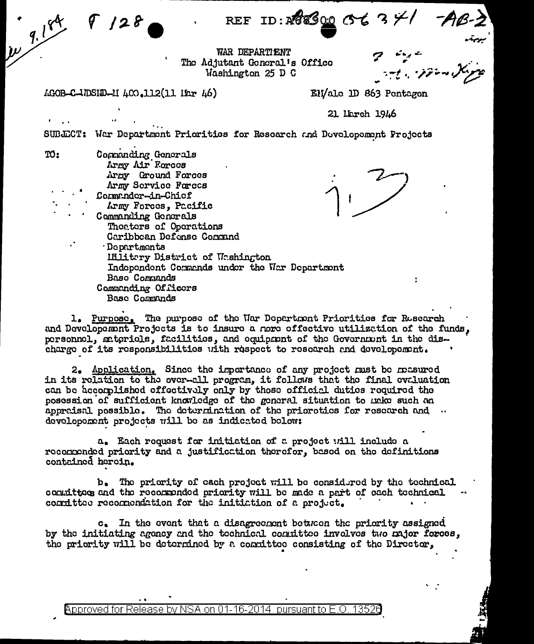WAR DEPARTIENT The Adjutant General's Office Washington 25 D C

AGOB-C-IDSID-II 400.112(11 IEr 46)

 $9128$ 

 $10^{9.184}$ 

EN/ale 1D 863 Pentagon

21 lierch 1946

SUBJECT: War Department Priorities for Research and Developement Projects

| ro: | Commanding Generals<br>Army Air Forces        |
|-----|-----------------------------------------------|
|     | Army Ground Forces                            |
|     | Army Service Forces                           |
|     | Commander-in-Chief                            |
|     | Army Forces, Pacific                          |
|     | Commanding Generals                           |
|     | Theaters of Operations                        |
|     | Caribbean Defense Command                     |
|     | <b>Departments</b>                            |
|     | Hilitery District of Weshington               |
|     | Independent Commands under the War Department |
|     | Base Commands                                 |
|     | Commanding Officers                           |
|     | Base Communds                                 |
|     |                                               |

1. Purpose. The purpose of the War Department Priorities for Research and Developement Projects is to insure a nore offective utilization of the funds. personnel, materials, facilities, and equipment of the Government in the discharge of its responsibilities with respect to research and developement.

2. Application. Since the importance of any project must be mesured in its relation to the over-all program, it follows that the final evaluation can be accomplished effectively only by those official duties required the posession of sufficient knowledge of the general situation to make such an appraisal possible. The determination of the prioroties for research and .. developement projects will be as indicated below:

a. Each request for initiation of a project will include a recommended priority and a justification therefor, based on the definitions contained herein.

b. The priority of each project will be considered by the technical committoes and the recommended priority will be made a part of each technical committee recommendation for the initiation of a project.

c. In the event that a disagreement between the priority assigned by the initiating agency and the technical committee involves two major forces, the priority will be determined by a consittee consisting of the Director,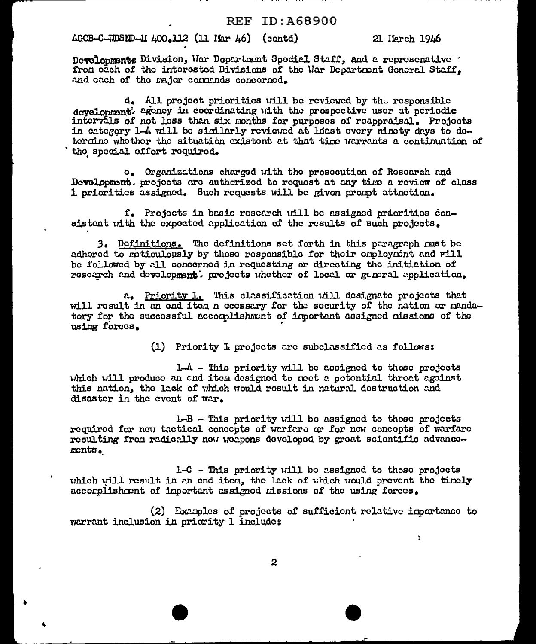## $\text{\textsterling}$ C-JDSND-II 400.112 (11 Har 46) (contd)

21 Herch 1946

÷

Developments Division, War Department Special Staff, and a represenative . from each of the interested Divisions of the Uar Department General Staff. and each of the major commands concerned.

d. All project priorities will be reviewed by the responsible development: agency in coordinating with the prospective user at periodic intervals of not less than six months for purposes of reappraisal. Projects in category 1-4 will be similarly reviewed at loast every minety days to determine whether the situation existent at that time warrants a continuation of the special effort required.

c. Organizations charged with the prosecution of Research and Development. projects are authorized to request at any time a review of class 1 prioritics assigned. Such requests will be given prompt attnetion.

f. Projects in basic research will be assigned priorities consistent with the expected application of the results of such projects.

3. Definitions. The definitions set forth in this peragraph must be adhored to reticulously by those responsible for their employment and will be followed by all concerned in requesting or directing the initiation of research and development. projects whether of local or general application.

a. Priority 1. This classification will designate projects that will result in an end item n ecossary for the security of the nation or mandatory for the successful accomplishment of important assigned missions of the using forces.

(1) Priority L projects are subclassified as follows:

 $1-A$  - This priority will be assigned to those projects which will produce an end item designed to meet a potential threat against this nation, the lack of which would result in natural destruction and disaster in the event of war.

 $1 - B -$  This priority will be assigned to those projects required for now tactical concepts of warfare or for now concepts of warfare resulting from radically now weapons developed by great scientific advancemonts.

1-C - This priority will be assigned to those projects which will result in an end iten, the lack of which would prevent the timely accomplishment of important assigned missions of the using forces.

(2) Examples of projects of sufficient relative importance to warrant inclusion in priority 1 include:

 $\mathbf{z}$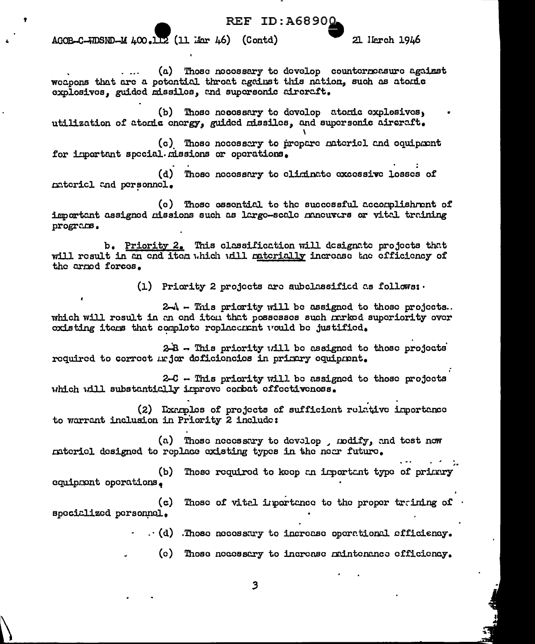## **REF ID:A68900**

AGOB-C-WDSND-M 400.112 (11 Mar 46) (Contd)

21 Herch 1946

(a) Those necessary to develop counterneasure against wecoons that are a potential threat against this nation, such as atomic explosives, guided missiles, and supersonic aircraft.

(b) Those necessary to develop atomic explosives, utilization of atomic cnorgy, guided missiles, and supersonic aircraft.

(c) Those necessary to prepare natericl and equipment for important special missions or operations.

(d) Those necessary to eliminate excessive losses of natericl and personnel.

(c) Those essential to the successful accomplishment of important assigned missions such as large-scale maneuvers or vital training programs.

b. Priority 2. This classification will designate projects that will result in an end item which will materially increase the efficiency of the armed forces.

(1) Priority 2 projects are subclassified as follows:

2-A - This priority will be assigned to those projects. which will result in an end iten that possesses such marked superiority over existing items that complete replacement would be justified.

 $2-A$  - This priority will be assigned to those projects required to correct major deficiencies in primary equipment.

2-C -- This priority will be assigned to those projects which will substantially inprove combat effectiveness.

(2) Exemples of projects of sufficient relative inportance to warrant inclusion in Priority 2 include:

(a) Those necessary to develop, modify, and test now nateriel designed to replace existing types in the neer future.

Those required to keep an important type of primary  $(b)$ equipment operations.

Those of vital importance to the proper training of  $(c)$ specialized personnel.

 $\cdot$  (d) . Those necessary to increase operational efficiency.

(c) Those necessary to increase mintenance efficiency.

3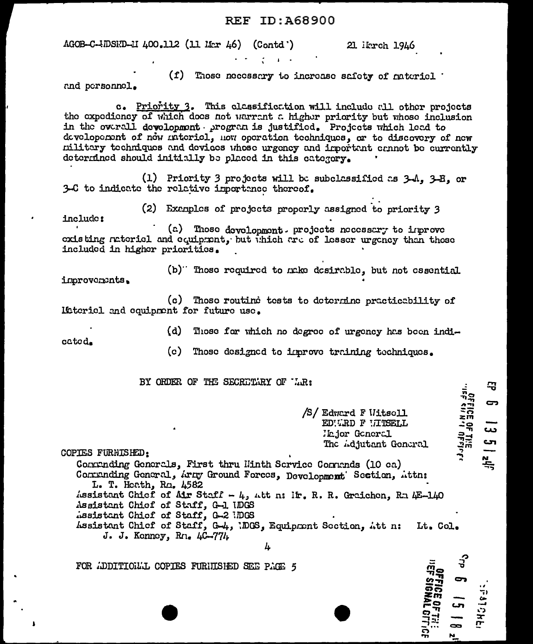## **REF ID: A68900**

AGOB-C-IDSED-II 400.112 (11 Mar 46) (Contd')

21 ikrch 1946

(f) Those necessary to increase safety of naterial and personnel.

c. Priority 3. This classification will include all other projects the expediency of which does not warrant a higher priority but whose inclusion in the overall development program is justified. Projects which lead to developement of now mutericl. How operation techniques, or to discovery of new military techniques and devices whose urgency and important cannot be currently determined should initially be placed in this category.

(1) Priority 3 projects will be subclassified as  $3-4$ .  $3-5$ . or 3-C to indicate the relative importance thereof.

(2) Examples of projects properly assigned to priority 3 include:

(a) Those development. projects necessary to improve existing actoriel and equipment, but which are of lesser urgency than those included in higher priorities.

(b)" Those required to make desirable, but not essential inprovements.

(c) Those routine tests to determine practicability of literiel and equipment for future use.

> (d) -Those for which no degree of urgency has been indi-

cated.

(c) Those designed to improve training techniques.

BY ORDER OF THE SECRETIAY OF LR:

/S/ Edward F Witscll EDWRD F LITSELL Hajor Goneral The *idjutant* General 马

5

دى

Cη.

يد<br>چې

**THEF SHOE OF THE** 

COPIES FURNISHED:

Contrading Generals, First thru Hinth Service Contrads (10 ca) Commanding General, Army Ground Forces, Development' Section, Attn: L. T. Hoath, Rm. 4582 Assistant Chicf of Air Staff - 4, Att n: Ir. R. R. Graichen, Ra 4E-140 Assistant Chief of Staff, G-1 IDGS

- ussistant Chief of Staff, G-2 IDGS
- Assistant Chief of Staff, G-4, IDGS, Equipment Section, Att n: Lt. Col. J. J. Konney, Rn.  $4C-77l<sub>k</sub>$ 
	- Δ.

FOR ADDITIONAL COPIES FURNISHED SEE PAGE 5